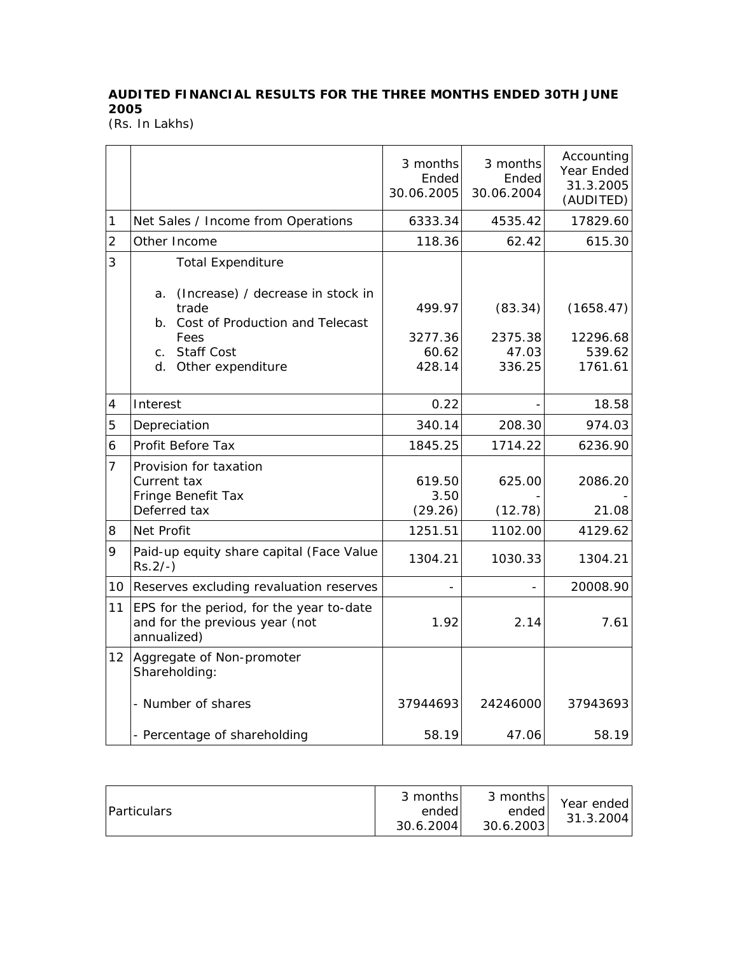## **AUDITED FINANCIAL RESULTS FOR THE THREE MONTHS ENDED 30TH JUNE 2005**

(Rs. In Lakhs)

|                |                                                                                           | 3 months<br>Ended<br>30.06.2005 | 3 months<br>Ended<br>30.06.2004 | Accounting<br>Year Ended<br>31.3.2005<br>(AUDITED) |
|----------------|-------------------------------------------------------------------------------------------|---------------------------------|---------------------------------|----------------------------------------------------|
| 1              | Net Sales / Income from Operations                                                        | 6333.34                         | 4535.42                         | 17829.60                                           |
| $\overline{2}$ | Other Income                                                                              | 118.36                          | 62.42                           | 615.30                                             |
| 3              | <b>Total Expenditure</b><br>(Increase) / decrease in stock in<br>a.                       |                                 |                                 |                                                    |
|                | trade<br>b. Cost of Production and Telecast                                               | 499.97                          | (83.34)                         | (1658.47)                                          |
|                | Fees                                                                                      | 3277.36                         | 2375.38                         | 12296.68                                           |
|                | <b>Staff Cost</b><br>C <sub>1</sub>                                                       | 60.62                           | 47.03                           | 539.62                                             |
|                | d. Other expenditure                                                                      | 428.14                          | 336.25                          | 1761.61                                            |
| 4              | Interest                                                                                  | 0.22                            |                                 | 18.58                                              |
| 5              | Depreciation                                                                              | 340.14                          | 208.30                          | 974.03                                             |
| 6              | Profit Before Tax                                                                         | 1845.25                         | 1714.22                         | 6236.90                                            |
| $\overline{7}$ | Provision for taxation                                                                    |                                 |                                 |                                                    |
|                | Current tax                                                                               | 619.50                          | 625.00                          | 2086.20                                            |
|                | Fringe Benefit Tax                                                                        | 3.50                            |                                 |                                                    |
|                | Deferred tax                                                                              | (29.26)                         | (12.78)                         | 21.08                                              |
| 8              | Net Profit                                                                                | 1251.51                         | 1102.00                         | 4129.62                                            |
| 9              | Paid-up equity share capital (Face Value<br>$Rs.2/-$ )                                    | 1304.21                         | 1030.33                         | 1304.21                                            |
| 10             | Reserves excluding revaluation reserves                                                   |                                 |                                 | 20008.90                                           |
| 11             | EPS for the period, for the year to-date<br>and for the previous year (not<br>annualized) | 1.92                            | 2.14                            | 7.61                                               |
| 12             | Aggregate of Non-promoter<br>Shareholding:                                                |                                 |                                 |                                                    |
|                | - Number of shares                                                                        | 37944693                        | 24246000                        | 37943693                                           |
|                | - Percentage of shareholding                                                              | 58.19                           | 47.06                           | 58.19                                              |

| <i><b>Particulars</b></i> | 3 months<br>ended<br>30.6.2004 | 3 months<br>ended<br>30.6.2003 | Year ended<br>31.3.2004 |
|---------------------------|--------------------------------|--------------------------------|-------------------------|
|---------------------------|--------------------------------|--------------------------------|-------------------------|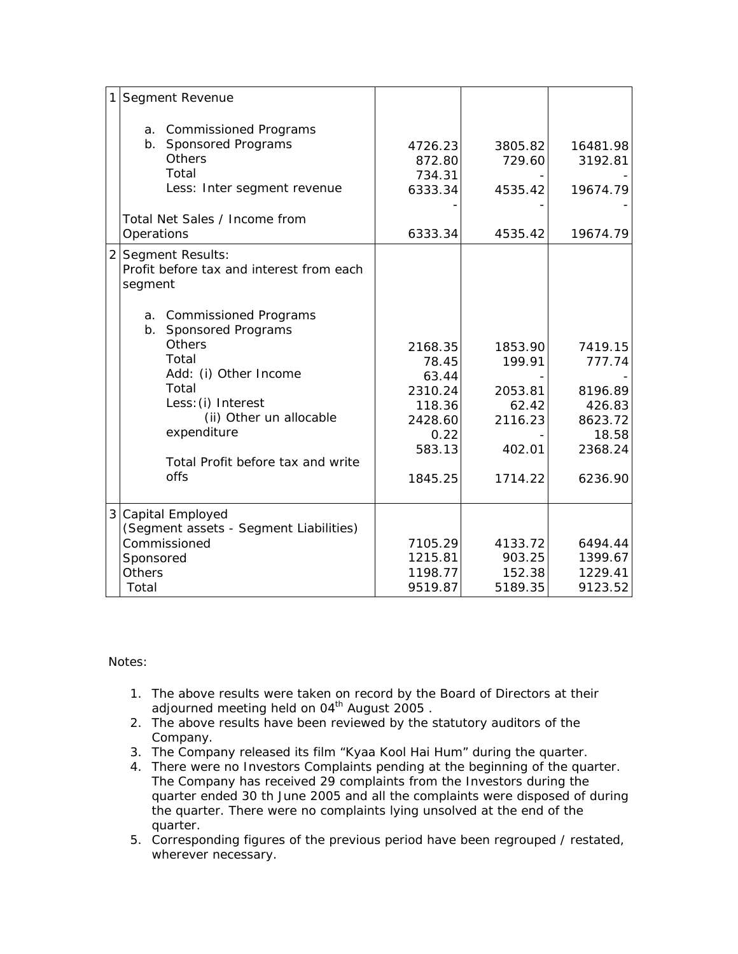| 1<br>Segment Revenue                                                                                                                                       |                                                              |                                                                                        |                                                                       |                                                                                  |
|------------------------------------------------------------------------------------------------------------------------------------------------------------|--------------------------------------------------------------|----------------------------------------------------------------------------------------|-----------------------------------------------------------------------|----------------------------------------------------------------------------------|
| a. Commissioned Programs<br>b. Sponsored Programs<br>Others<br>Total<br>Total Net Sales / Income from<br>Operations                                        | Less: Inter segment revenue                                  | 4726.23<br>872.80<br>734.31<br>6333.34<br>6333.34                                      | 3805.82<br>729.60<br>4535.42<br>4535.42                               | 16481.98<br>3192.81<br>19674.79<br>19674.79                                      |
| 2 Segment Results:<br>Profit before tax and interest from each<br>segment                                                                                  |                                                              |                                                                                        |                                                                       |                                                                                  |
| a. Commissioned Programs<br>b. Sponsored Programs<br><b>Others</b><br>Total<br>Add: (i) Other Income<br>Total<br>Less: (i) Interest<br>expenditure<br>offs | (ii) Other un allocable<br>Total Profit before tax and write | 2168.35<br>78.45<br>63.44<br>2310.24<br>118.36<br>2428.60<br>0.22<br>583.13<br>1845.25 | 1853.90<br>199.91<br>2053.81<br>62.42<br>2116.23<br>402.01<br>1714.22 | 7419.15<br>777.74<br>8196.89<br>426.83<br>8623.72<br>18.58<br>2368.24<br>6236.90 |
| 3<br>Capital Employed<br>(Segment assets - Segment Liabilities)<br>Commissioned<br>Sponsored<br><b>Others</b><br>Total                                     |                                                              | 7105.29<br>1215.81<br>1198.77<br>9519.87                                               | 4133.72<br>903.25<br>152.38<br>5189.35                                | 6494.44<br>1399.67<br>1229.41<br>9123.52                                         |

Notes:

- 1. The above results were taken on record by the Board of Directors at their adjourned meeting held on 04<sup>th</sup> August 2005.
- 2. The above results have been reviewed by the statutory auditors of the Company.
- 3. The Company released its film "Kyaa Kool Hai Hum" during the quarter.
- 4. There were no Investors Complaints pending at the beginning of the quarter. The Company has received 29 complaints from the Investors during the quarter ended 30 th June 2005 and all the complaints were disposed of during the quarter. There were no complaints lying unsolved at the end of the quarter.
- 5. Corresponding figures of the previous period have been regrouped / restated, wherever necessary.